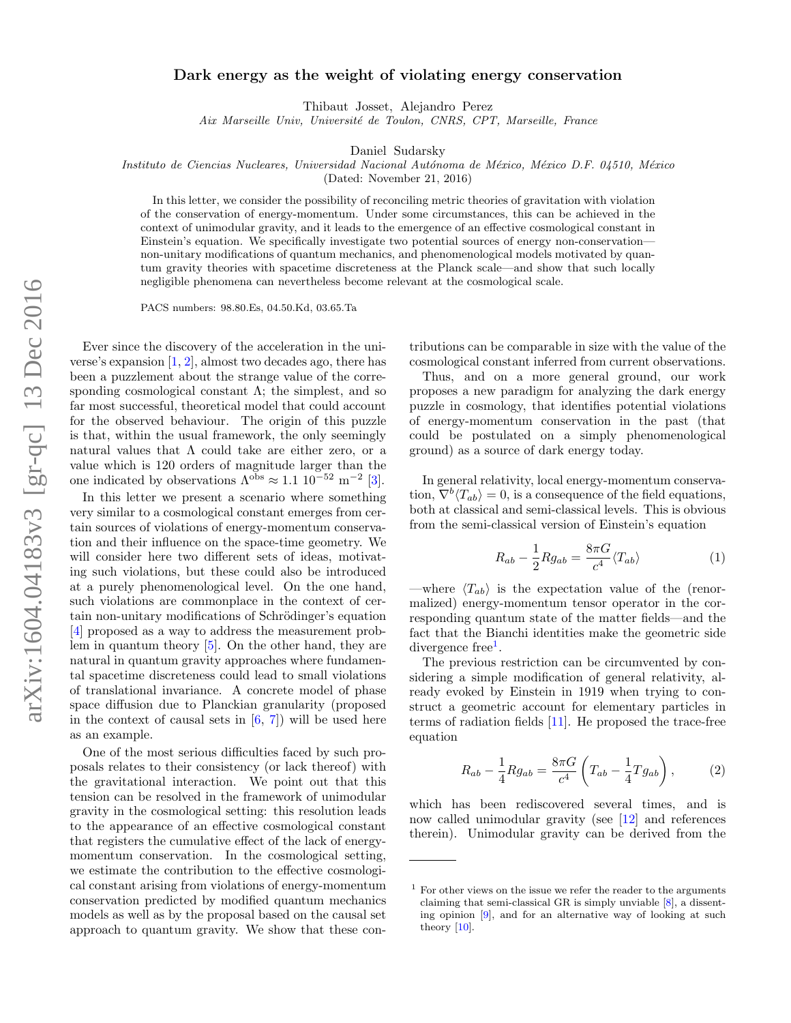## Dark energy as the weight of violating energy conservation

Thibaut Josset, Alejandro Perez

Aix Marseille Univ, Université de Toulon, CNRS, CPT, Marseille, France

Daniel Sudarsky

Instituto de Ciencias Nucleares, Universidad Nacional Autónoma de México, México D.F. 04510, México

(Dated: November 21, 2016)

In this letter, we consider the possibility of reconciling metric theories of gravitation with violation of the conservation of energy-momentum. Under some circumstances, this can be achieved in the context of unimodular gravity, and it leads to the emergence of an effective cosmological constant in Einstein's equation. We specifically investigate two potential sources of energy non-conservation non-unitary modifications of quantum mechanics, and phenomenological models motivated by quantum gravity theories with spacetime discreteness at the Planck scale—and show that such locally negligible phenomena can nevertheless become relevant at the cosmological scale.

PACS numbers: 98.80.Es, 04.50.Kd, 03.65.Ta

Ever since the discovery of the acceleration in the universe's expansion  $[1, 2]$  $[1, 2]$  $[1, 2]$ , almost two decades ago, there has been a puzzlement about the strange value of the corresponding cosmological constant  $\Lambda$ ; the simplest, and so far most successful, theoretical model that could account for the observed behaviour. The origin of this puzzle is that, within the usual framework, the only seemingly natural values that  $\Lambda$  could take are either zero, or a value which is 120 orders of magnitude larger than the one indicated by observations  $\Lambda^{obs} \approx 1.1 \ 10^{-52} \ \text{m}^{-2} \ [3]$  $\Lambda^{obs} \approx 1.1 \ 10^{-52} \ \text{m}^{-2} \ [3]$ .

In this letter we present a scenario where something very similar to a cosmological constant emerges from certain sources of violations of energy-momentum conservation and their influence on the space-time geometry. We will consider here two different sets of ideas, motivating such violations, but these could also be introduced at a purely phenomenological level. On the one hand, such violations are commonplace in the context of certain non-unitary modifications of Schrödinger's equation [\[4\]](#page-4-3) proposed as a way to address the measurement problem in quantum theory [\[5\]](#page-4-4). On the other hand, they are natural in quantum gravity approaches where fundamental spacetime discreteness could lead to small violations of translational invariance. A concrete model of phase space diffusion due to Planckian granularity (proposed in the context of causal sets in  $[6, 7]$  $[6, 7]$  $[6, 7]$  will be used here as an example.

One of the most serious difficulties faced by such proposals relates to their consistency (or lack thereof) with the gravitational interaction. We point out that this tension can be resolved in the framework of unimodular gravity in the cosmological setting: this resolution leads to the appearance of an effective cosmological constant that registers the cumulative effect of the lack of energymomentum conservation. In the cosmological setting, we estimate the contribution to the effective cosmological constant arising from violations of energy-momentum conservation predicted by modified quantum mechanics models as well as by the proposal based on the causal set approach to quantum gravity. We show that these con-

tributions can be comparable in size with the value of the cosmological constant inferred from current observations.

Thus, and on a more general ground, our work proposes a new paradigm for analyzing the dark energy puzzle in cosmology, that identifies potential violations of energy-momentum conservation in the past (that could be postulated on a simply phenomenological ground) as a source of dark energy today.

In general relativity, local energy-momentum conservation,  $\nabla^b \langle T_{ab} \rangle = 0$ , is a consequence of the field equations, both at classical and semi-classical levels. This is obvious from the semi-classical version of Einstein's equation

$$
R_{ab} - \frac{1}{2} R g_{ab} = \frac{8\pi G}{c^4} \langle T_{ab} \rangle \tag{1}
$$

—where  $\langle T_{ab} \rangle$  is the expectation value of the (renormalized) energy-momentum tensor operator in the corresponding quantum state of the matter fields—and the fact that the Bianchi identities make the geometric side divergence free<sup>[1](#page-0-0)</sup>.

The previous restriction can be circumvented by considering a simple modification of general relativity, already evoked by Einstein in 1919 when trying to construct a geometric account for elementary particles in terms of radiation fields [\[11\]](#page-4-7). He proposed the trace-free equation

<span id="page-0-1"></span>
$$
R_{ab} - \frac{1}{4} R g_{ab} = \frac{8\pi G}{c^4} \left( T_{ab} - \frac{1}{4} T g_{ab} \right), \tag{2}
$$

which has been rediscovered several times, and is now called unimodular gravity (see [\[12\]](#page-4-8) and references therein). Unimodular gravity can be derived from the

<span id="page-0-0"></span> $<sup>1</sup>$  For other views on the issue we refer the reader to the arguments</sup> claiming that semi-classical GR is simply unviable [\[8\]](#page-4-9), a dissenting opinion [\[9\]](#page-4-10), and for an alternative way of looking at such theory [\[10\]](#page-4-11).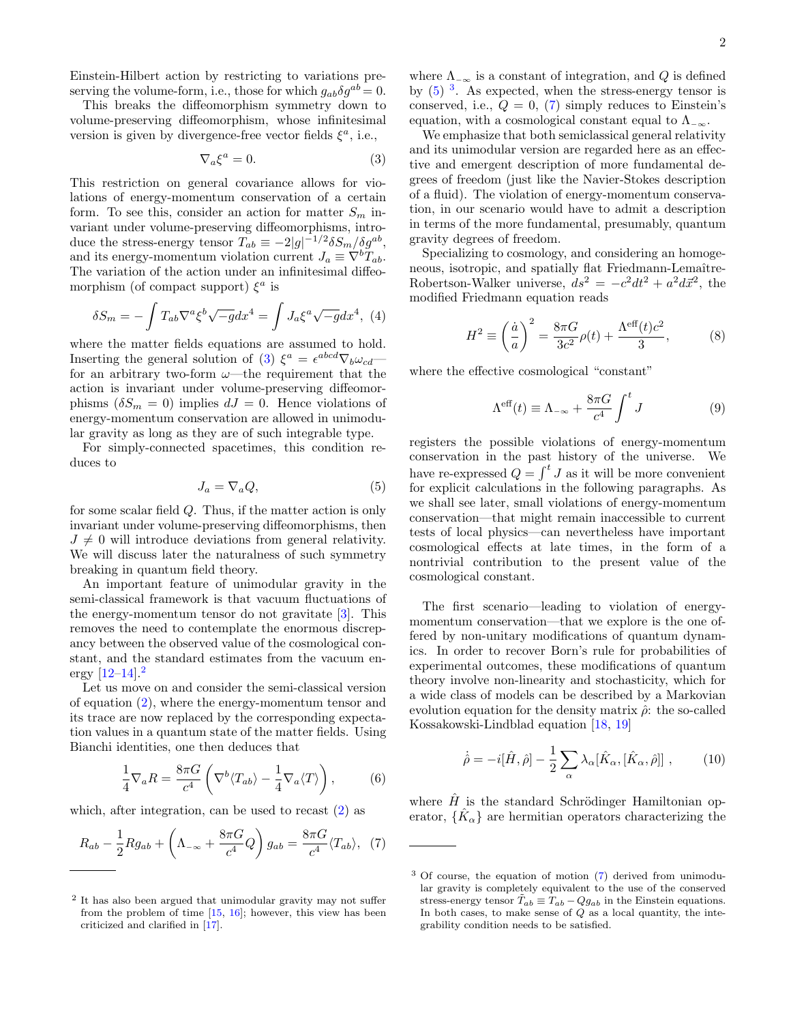Einstein-Hilbert action by restricting to variations preserving the volume-form, i.e., those for which  $g_{ab}\delta g^{ab} = 0$ .

This breaks the diffeomorphism symmetry down to volume-preserving diffeomorphism, whose infinitesimal version is given by divergence-free vector fields  $\xi^a$ , i.e.,

$$
\nabla_a \xi^a = 0. \tag{3}
$$

This restriction on general covariance allows for violations of energy-momentum conservation of a certain form. To see this, consider an action for matter  $S_m$  invariant under volume-preserving diffeomorphisms, introduce the stress-energy tensor  $T_{ab} \equiv -2|g|^{-1/2} \delta S_m / \delta g^{ab}$ , and its energy-momentum violation current  $J_a \equiv \nabla^b T_{ab}$ . The variation of the action under an infinitesimal diffeomorphism (of compact support)  $\xi^a$  is

$$
\delta S_m = -\int T_{ab} \nabla^a \xi^b \sqrt{-g} dx^4 = \int J_a \xi^a \sqrt{-g} dx^4, \tag{4}
$$

where the matter fields equations are assumed to hold. Inserting the general solution of [\(3\)](#page-1-0)  $\xi^a = \epsilon^{abcd} \nabla_b \omega_{cd}$ for an arbitrary two-form  $\omega$ —the requirement that the action is invariant under volume-preserving diffeomorphisms  $(\delta S_m = 0)$  implies  $dJ = 0$ . Hence violations of energy-momentum conservation are allowed in unimodular gravity as long as they are of such integrable type.

<span id="page-1-2"></span>For simply-connected spacetimes, this condition reduces to

$$
J_a = \nabla_a Q,\tag{5}
$$

for some scalar field Q. Thus, if the matter action is only invariant under volume-preserving diffeomorphisms, then  $J \neq 0$  will introduce deviations from general relativity. We will discuss later the naturalness of such symmetry breaking in quantum field theory.

An important feature of unimodular gravity in the semi-classical framework is that vacuum fluctuations of the energy-momentum tensor do not gravitate  $[3]$ . This removes the need to contemplate the enormous discrepancy between the observed value of the cosmological constant, and the standard estimates from the vacuum energy  $[12-14]$  $[12-14]$ .<sup>[2](#page-1-1)</sup>

Let us move on and consider the semi-classical version of equation [\(2\)](#page-0-1), where the energy-momentum tensor and its trace are now replaced by the corresponding expectation values in a quantum state of the matter fields. Using Bianchi identities, one then deduces that

$$
\frac{1}{4}\nabla_a R = \frac{8\pi G}{c^4} \left( \nabla^b \langle T_{ab} \rangle - \frac{1}{4} \nabla_a \langle T \rangle \right), \tag{6}
$$

which, after integration, can be used to recast [\(2\)](#page-0-1) as

$$
R_{ab} - \frac{1}{2} R g_{ab} + \left(\Lambda_{-\infty} + \frac{8\pi G}{c^4} Q\right) g_{ab} = \frac{8\pi G}{c^4} \langle T_{ab} \rangle, \tag{7}
$$

where  $\Lambda_{-\infty}$  is a constant of integration, and Q is defined by  $(5)$ <sup>[3](#page-1-3)</sup>. As expected, when the stress-energy tensor is conserved, i.e.,  $Q = 0$ , [\(7\)](#page-1-4) simply reduces to Einstein's equation, with a cosmological constant equal to  $\Lambda_{-\infty}$ .

<span id="page-1-0"></span>We emphasize that both semiclassical general relativity and its unimodular version are regarded here as an effective and emergent description of more fundamental degrees of freedom (just like the Navier-Stokes description of a fluid). The violation of energy-momentum conservation, in our scenario would have to admit a description in terms of the more fundamental, presumably, quantum gravity degrees of freedom.

Specializing to cosmology, and considering an homogeneous, isotropic, and spatially flat Friedmann-Lemaître-Robertson-Walker universe,  $ds^2 = -c^2 dt^2 + a^2 d\vec{x}^2$ , the modified Friedmann equation reads

$$
H2 \equiv \left(\frac{\dot{a}}{a}\right)^{2} = \frac{8\pi G}{3c^{2}}\rho(t) + \frac{\Lambda^{\text{eff}}(t)c^{2}}{3},
$$
 (8)

where the effective cosmological "constant"

<span id="page-1-6"></span>
$$
\Lambda^{\text{eff}}(t) \equiv \Lambda_{-\infty} + \frac{8\pi G}{c^4} \int^t J \tag{9}
$$

registers the possible violations of energy-momentum conservation in the past history of the universe. We have re-expressed  $Q = \int^t J$  as it will be more convenient for explicit calculations in the following paragraphs. As we shall see later, small violations of energy-momentum conservation—that might remain inaccessible to current tests of local physics—can nevertheless have important cosmological effects at late times, in the form of a nontrivial contribution to the present value of the cosmological constant.

The first scenario—leading to violation of energymomentum conservation—that we explore is the one offered by non-unitary modifications of quantum dynamics. In order to recover Born's rule for probabilities of experimental outcomes, these modifications of quantum theory involve non-linearity and stochasticity, which for a wide class of models can be described by a Markovian evolution equation for the density matrix  $\hat{\rho}$ : the so-called Kossakowski-Lindblad equation [\[18,](#page-4-16) [19\]](#page-4-17)

<span id="page-1-5"></span>
$$
\dot{\hat{\rho}} = -i[\hat{H}, \hat{\rho}] - \frac{1}{2} \sum_{\alpha} \lambda_{\alpha} [\hat{K}_{\alpha}, [\hat{K}_{\alpha}, \hat{\rho}]] , \qquad (10)
$$

<span id="page-1-4"></span>where  $\hat{H}$  is the standard Schrödinger Hamiltonian operator,  $\{\hat{K}_{\alpha}\}\$ are hermitian operators characterizing the

<span id="page-1-1"></span><sup>2</sup> It has also been argued that unimodular gravity may not suffer from the problem of time  $[15, 16]$  $[15, 16]$ ; however, this view has been criticized and clarified in [\[17\]](#page-4-15).

<span id="page-1-3"></span><sup>3</sup> Of course, the equation of motion [\(7\)](#page-1-4) derived from unimodular gravity is completely equivalent to the use of the conserved stress-energy tensor  $\tilde{T}_{ab} \equiv T_{ab} - Qg_{ab}$  in the Einstein equations. In both cases, to make sense of  $Q$  as a local quantity, the integrability condition needs to be satisfied.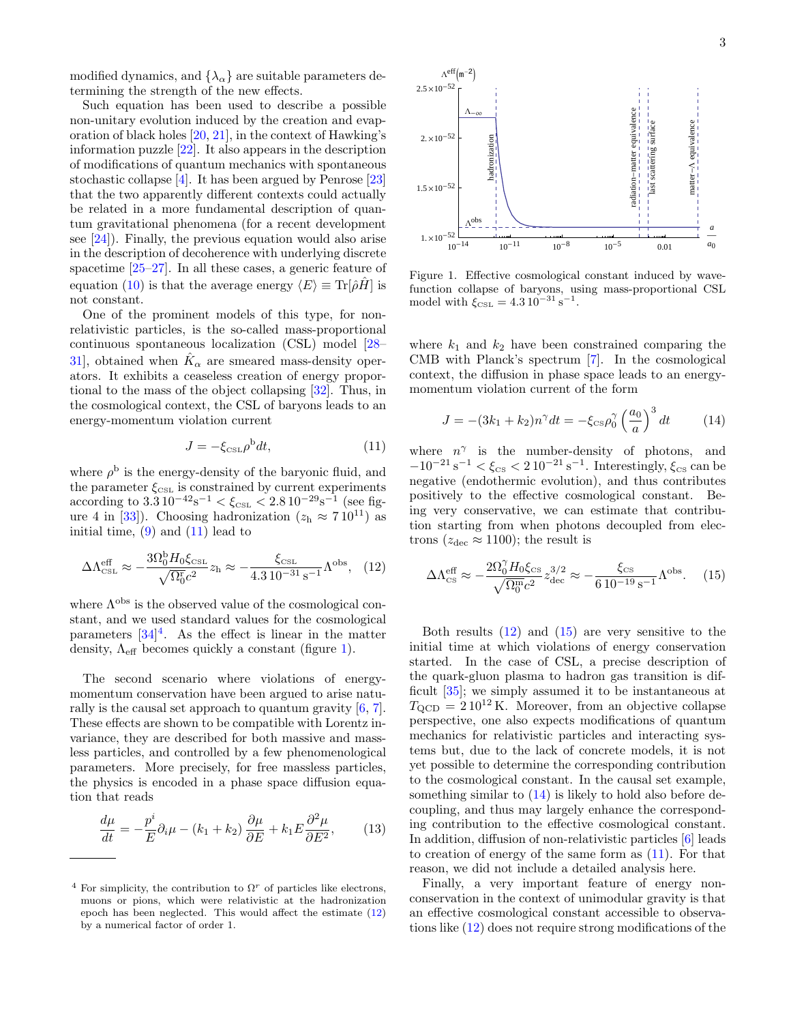modified dynamics, and  $\{\lambda_{\alpha}\}\$ are suitable parameters determining the strength of the new effects.

Such equation has been used to describe a possible non-unitary evolution induced by the creation and evaporation of black holes [\[20,](#page-4-18) [21\]](#page-4-19), in the context of Hawking's information puzzle [\[22\]](#page-4-20). It also appears in the description of modifications of quantum mechanics with spontaneous stochastic collapse [\[4\]](#page-4-3). It has been argued by Penrose [\[23\]](#page-4-21) that the two apparently different contexts could actually be related in a more fundamental description of quantum gravitational phenomena (for a recent development see [\[24\]](#page-4-22)). Finally, the previous equation would also arise in the description of decoherence with underlying discrete spacetime [\[25–](#page-4-23)[27\]](#page-4-24). In all these cases, a generic feature of equation [\(10\)](#page-1-5) is that the average energy  $\langle E \rangle \equiv \text{Tr}[\hat{\rho}\hat{H}]$  is not constant. attenuo or nation for the effects of the effects of origins in the effects of original and the two specifies<br>that the polarisation of original and the specifies of original and the two specifies<br>of original and the specif

One of the prominent models of this type, for nonrelativistic particles, is the so-called mass-proportional continuous spontaneous localization (CSL) model [\[28–](#page-4-25) [31\]](#page-4-26), obtained when  $\hat{K}_{\alpha}$  are smeared mass-density operators. It exhibits a ceaseless creation of energy proportional to the mass of the object collapsing [\[32\]](#page-4-27). Thus, in the cosmological context, the CSL of baryons leads to an energy-momentum violation current

<span id="page-2-3"></span><span id="page-2-0"></span>
$$
J = -\xi_{\text{CSL}} \rho^b dt,\tag{11}
$$

where  $\rho^{\rm b}$  is the energy-density of the baryonic fluid, and the parameter  $\xi_{\text{CSL}}$  is constrained by current experiments according to  $3.310^{-42}$ s<sup>-1</sup>  $< \xi_{\text{CSL}} < 2.810^{-29}$ s<sup>-1</sup> (see fig-ure 4 in [\[33\]](#page-4-28)). Choosing hadronization  $(z_h \approx 710^{11})$  as initial time,  $(9)$  and  $(11)$  lead to

$$
\Delta\Lambda_{\rm CSL}^{\rm eff} \approx -\frac{3\Omega_0^{\rm b}H_0\xi_{\rm CSL}}{\sqrt{\Omega_0^{\rm r}}c^2} z_{\rm h} \approx -\frac{\xi_{\rm CSL}}{4.3\,10^{-31}\,\rm s^{-1}}\Lambda^{\rm obs}, \quad (12)
$$

where  $\Lambda^{\rm obs}$  is the observed value of the cosmological constant, and we used standard values for the cosmological parameters  $[34]^4$  $[34]^4$  $[34]^4$ . As the effect is linear in the matter density,  $\Lambda_{\text{eff}}$  becomes quickly a constant (figure [1\)](#page-2-2).

The second scenario where violations of energymomentum conservation have been argued to arise naturally is the causal set approach to quantum gravity [\[6,](#page-4-5) [7\]](#page-4-6). These effects are shown to be compatible with Lorentz invariance, they are described for both massive and massless particles, and controlled by a few phenomenological parameters. More precisely, for free massless particles, the physics is encoded in a phase space diffusion equation that reads

$$
\frac{d\mu}{dt} = -\frac{p^i}{E}\partial_i \mu - (k_1 + k_2) \frac{\partial \mu}{\partial E} + k_1 E \frac{\partial^2 \mu}{\partial E^2},\qquad(13)
$$



<span id="page-2-2"></span>Figure 1. Effective cosmological constant induced by wavefunction collapse of baryons, using mass-proportional CSL model with  $\xi_{\text{CSL}} = 4.3 \, 10^{-31} \, \text{s}^{-1}$ .

where  $k_1$  and  $k_2$  have been constrained comparing the CMB with Planck's spectrum [\[7\]](#page-4-6). In the cosmological context, the diffusion in phase space leads to an energymomentum violation current of the form

<span id="page-2-5"></span>
$$
J = -(3k_1 + k_2)n^{\gamma}dt = -\xi_{cs}\rho_0^{\gamma} \left(\frac{a_0}{a}\right)^3 dt \qquad (14)
$$

where  $n^{\gamma}$  is the number-density of photons, and  $-10^{-21}$  s<sup>-1</sup> <  $\xi_{\text{cs}}$  < 2 10<sup>-21</sup> s<sup>-1</sup>. Interestingly,  $\xi_{\text{cs}}$  can be negative (endothermic evolution), and thus contributes positively to the effective cosmological constant. Being very conservative, we can estimate that contribution starting from when photons decoupled from electrons ( $z_{\text{dec}} \approx 1100$ ); the result is

<span id="page-2-4"></span>
$$
\Delta\Lambda_{\rm CS}^{\rm eff} \approx -\frac{2\Omega_0^{\gamma}H_0\xi_{\rm CS}}{\sqrt{\Omega_0^{\rm m}}c^2}z_{\rm dec}^{3/2} \approx -\frac{\xi_{\rm CS}}{6\,10^{-19}\,\rm s^{-1}}\Lambda^{\rm obs}.\tag{15}
$$

Both results  $(12)$  and  $(15)$  are very sensitive to the initial time at which violations of energy conservation started. In the case of CSL, a precise description of the quark-gluon plasma to hadron gas transition is difficult [\[35\]](#page-5-0); we simply assumed it to be instantaneous at  $T_{\text{QCD}} = 210^{12} \text{ K}$ . Moreover, from an objective collapse perspective, one also expects modifications of quantum mechanics for relativistic particles and interacting systems but, due to the lack of concrete models, it is not yet possible to determine the corresponding contribution to the cosmological constant. In the causal set example, something similar to [\(14\)](#page-2-5) is likely to hold also before decoupling, and thus may largely enhance the corresponding contribution to the effective cosmological constant. In addition, diffusion of non-relativistic particles [\[6\]](#page-4-5) leads to creation of energy of the same form as [\(11\)](#page-2-0). For that reason, we did not include a detailed analysis here.

Finally, a very important feature of energy nonconservation in the context of unimodular gravity is that an effective cosmological constant accessible to observations like [\(12\)](#page-2-3) does not require strong modifications of the

<span id="page-2-1"></span><sup>&</sup>lt;sup>4</sup> For simplicity, the contribution to  $\Omega^r$  of particles like electrons, muons or pions, which were relativistic at the hadronization epoch has been neglected. This would affect the estimate  $(12)$  by a numerical factor of order 1.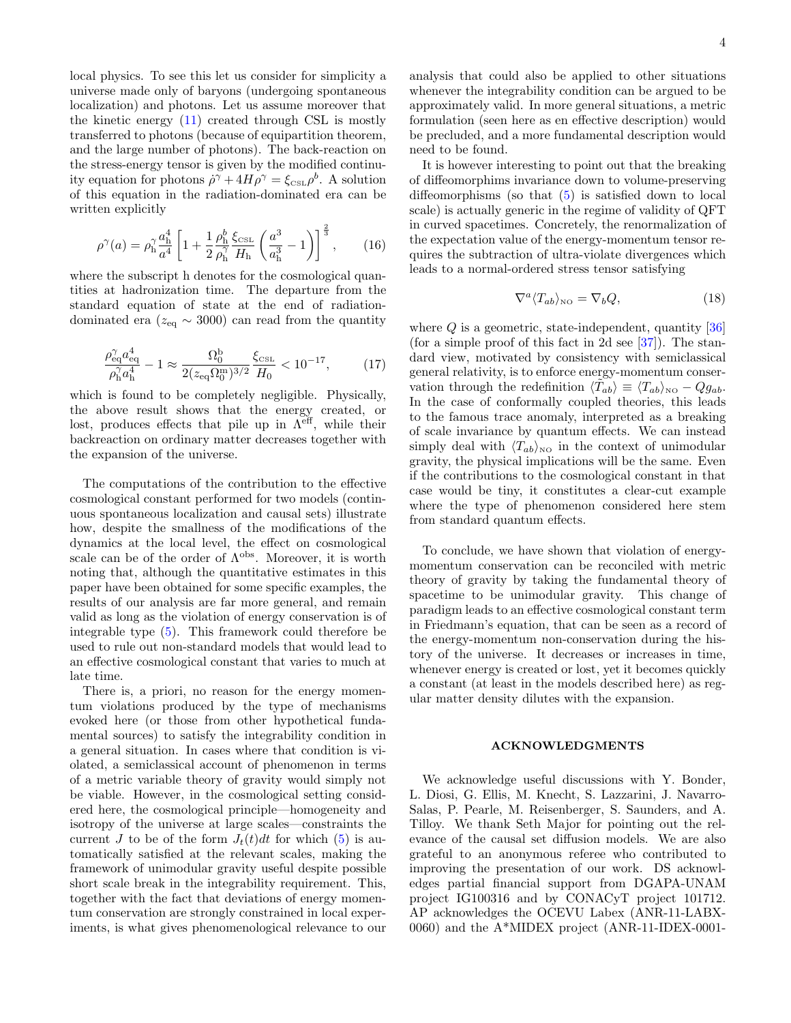local physics. To see this let us consider for simplicity a universe made only of baryons (undergoing spontaneous localization) and photons. Let us assume moreover that the kinetic energy [\(11\)](#page-2-0) created through CSL is mostly transferred to photons (because of equipartition theorem, and the large number of photons). The back-reaction on the stress-energy tensor is given by the modified continuity equation for photons  $\dot{\rho}^{\gamma} + 4H\rho^{\gamma} = \xi_{\text{CSL}} \rho^{b}$ . A solution of this equation in the radiation-dominated era can be written explicitly

$$
\rho^{\gamma}(a) = \rho_{\rm h}^{\gamma} \frac{a_{\rm h}^4}{a^4} \left[ 1 + \frac{1}{2} \frac{\rho_{\rm h}^b}{\rho_{\rm h}^{\gamma}} \frac{\xi_{\rm CSL}}{H_{\rm h}} \left( \frac{a^3}{a_{\rm h}^3} - 1 \right) \right]^{\frac{2}{3}},\qquad(16)
$$

where the subscript h denotes for the cosmological quantities at hadronization time. The departure from the standard equation of state at the end of radiationdominated era ( $z_{\text{eq}} \sim 3000$ ) can read from the quantity

$$
\frac{\rho_{\text{eq}}^{\gamma} a_{\text{eq}}^4}{\rho_{\text{n}}^{\gamma} a_{\text{n}}^4} - 1 \approx \frac{\Omega_0^b}{2(z_{\text{eq}} \Omega_0^{\text{m}})^{3/2}} \frac{\xi_{\text{cst}}}{H_0} < 10^{-17},\tag{17}
$$

which is found to be completely negligible. Physically, the above result shows that the energy created, or lost, produces effects that pile up in  $\Lambda^{\text{eff}}$ , while their backreaction on ordinary matter decreases together with the expansion of the universe.

The computations of the contribution to the effective cosmological constant performed for two models (continuous spontaneous localization and causal sets) illustrate how, despite the smallness of the modifications of the dynamics at the local level, the effect on cosmological scale can be of the order of  $\Lambda^{obs}$ . Moreover, it is worth noting that, although the quantitative estimates in this paper have been obtained for some specific examples, the results of our analysis are far more general, and remain valid as long as the violation of energy conservation is of integrable type [\(5\)](#page-1-2). This framework could therefore be used to rule out non-standard models that would lead to an effective cosmological constant that varies to much at late time.

There is, a priori, no reason for the energy momentum violations produced by the type of mechanisms evoked here (or those from other hypothetical fundamental sources) to satisfy the integrability condition in a general situation. In cases where that condition is violated, a semiclassical account of phenomenon in terms of a metric variable theory of gravity would simply not be viable. However, in the cosmological setting considered here, the cosmological principle—homogeneity and isotropy of the universe at large scales—constraints the current J to be of the form  $J_t(t)dt$  for which [\(5\)](#page-1-2) is automatically satisfied at the relevant scales, making the framework of unimodular gravity useful despite possible short scale break in the integrability requirement. This, together with the fact that deviations of energy momentum conservation are strongly constrained in local experiments, is what gives phenomenological relevance to our analysis that could also be applied to other situations whenever the integrability condition can be argued to be approximately valid. In more general situations, a metric formulation (seen here as en effective description) would be precluded, and a more fundamental description would need to be found.

It is however interesting to point out that the breaking of diffeomorphims invariance down to volume-preserving diffeomorphisms (so that [\(5\)](#page-1-2) is satisfied down to local scale) is actually generic in the regime of validity of QFT in curved spacetimes. Concretely, the renormalization of the expectation value of the energy-momentum tensor requires the subtraction of ultra-violate divergences which leads to a normal-ordered stress tensor satisfying

$$
\nabla^a \langle T_{ab} \rangle_{\text{NO}} = \nabla_b Q,\tag{18}
$$

where  $Q$  is a geometric, state-independent, quantity  $[36]$ (for a simple proof of this fact in 2d see  $[37]$ ). The standard view, motivated by consistency with semiclassical general relativity, is to enforce energy-momentum conservation through the redefinition  $\langle \tilde{T}_{ab} \rangle \equiv \langle T_{ab} \rangle_{\text{NO}} - Qg_{ab}$ . In the case of conformally coupled theories, this leads to the famous trace anomaly, interpreted as a breaking of scale invariance by quantum effects. We can instead simply deal with  $\langle T_{ab}\rangle_{\text{NO}}$  in the context of unimodular gravity, the physical implications will be the same. Even if the contributions to the cosmological constant in that case would be tiny, it constitutes a clear-cut example where the type of phenomenon considered here stem from standard quantum effects.

To conclude, we have shown that violation of energymomentum conservation can be reconciled with metric theory of gravity by taking the fundamental theory of spacetime to be unimodular gravity. This change of paradigm leads to an effective cosmological constant term in Friedmann's equation, that can be seen as a record of the energy-momentum non-conservation during the history of the universe. It decreases or increases in time, whenever energy is created or lost, yet it becomes quickly a constant (at least in the models described here) as regular matter density dilutes with the expansion.

## ACKNOWLEDGMENTS

We acknowledge useful discussions with Y. Bonder, L. Diosi, G. Ellis, M. Knecht, S. Lazzarini, J. Navarro-Salas, P. Pearle, M. Reisenberger, S. Saunders, and A. Tilloy. We thank Seth Major for pointing out the relevance of the causal set diffusion models. We are also grateful to an anonymous referee who contributed to improving the presentation of our work. DS acknowledges partial financial support from DGAPA-UNAM project IG100316 and by CONACyT project 101712. AP acknowledges the OCEVU Labex (ANR-11-LABX-0060) and the A\*MIDEX project (ANR-11-IDEX-0001-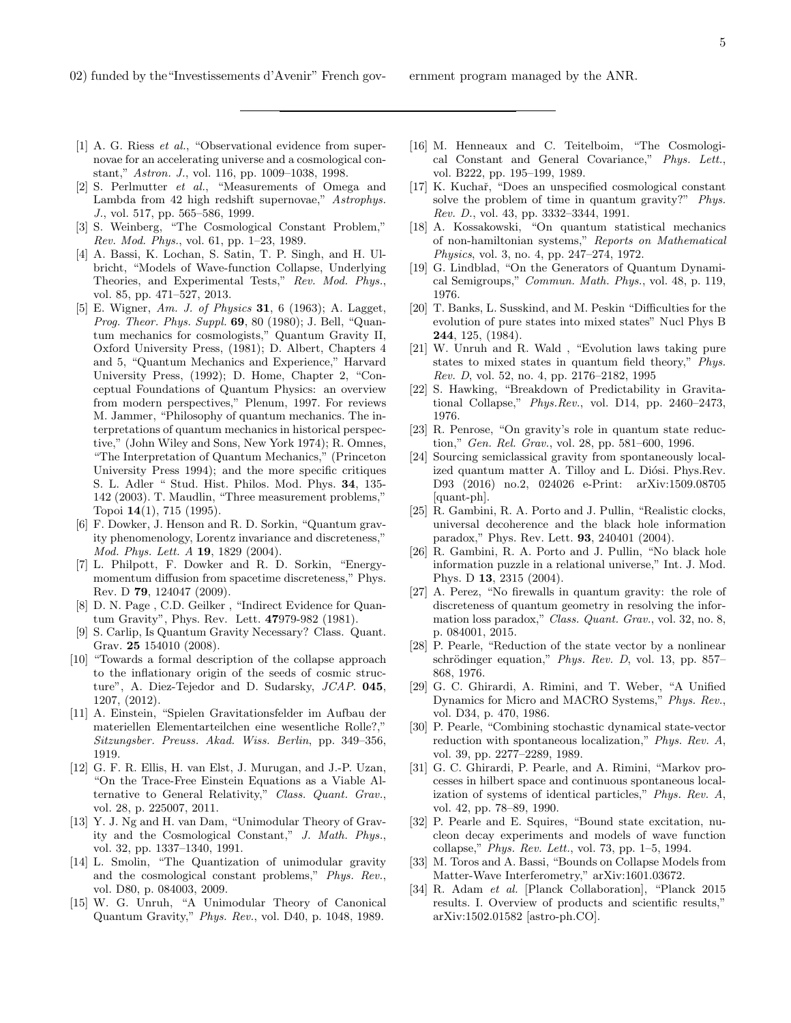- <span id="page-4-0"></span>[1] A. G. Riess et al., "Observational evidence from supernovae for an accelerating universe and a cosmological constant," Astron. J., vol. 116, pp. 1009–1038, 1998.
- <span id="page-4-1"></span>[2] S. Perlmutter et al., "Measurements of Omega and Lambda from 42 high redshift supernovae," Astrophys. J., vol. 517, pp. 565–586, 1999.
- <span id="page-4-2"></span>[3] S. Weinberg, "The Cosmological Constant Problem," Rev. Mod. Phys., vol. 61, pp. 1–23, 1989.
- <span id="page-4-3"></span>[4] A. Bassi, K. Lochan, S. Satin, T. P. Singh, and H. Ulbricht, "Models of Wave-function Collapse, Underlying Theories, and Experimental Tests," Rev. Mod. Phys., vol. 85, pp. 471–527, 2013.
- <span id="page-4-4"></span>[5] E. Wigner, Am. J. of Physics **31**, 6 (1963); A. Lagget, Prog. Theor. Phys. Suppl. 69, 80 (1980); J. Bell, "Quantum mechanics for cosmologists," Quantum Gravity II, Oxford University Press, (1981); D. Albert, Chapters 4 and 5, "Quantum Mechanics and Experience," Harvard University Press, (1992); D. Home, Chapter 2, "Conceptual Foundations of Quantum Physics: an overview from modern perspectives," Plenum, 1997. For reviews M. Jammer, "Philosophy of quantum mechanics. The interpretations of quantum mechanics in historical perspective," (John Wiley and Sons, New York 1974); R. Omnes, "The Interpretation of Quantum Mechanics," (Princeton University Press 1994); and the more specific critiques S. L. Adler " Stud. Hist. Philos. Mod. Phys. 34, 135- 142 (2003). T. Maudlin, "Three measurement problems," Topoi 14(1), 715 (1995).
- <span id="page-4-5"></span>[6] F. Dowker, J. Henson and R. D. Sorkin, "Quantum gravity phenomenology, Lorentz invariance and discreteness," Mod. Phys. Lett. A 19, 1829 (2004).
- <span id="page-4-6"></span>[7] L. Philpott, F. Dowker and R. D. Sorkin, "Energymomentum diffusion from spacetime discreteness," Phys. Rev. D 79, 124047 (2009).
- <span id="page-4-9"></span>[8] D. N. Page , C.D. Geilker , "Indirect Evidence for Quantum Gravity", Phys. Rev. Lett. 47979-982 (1981).
- <span id="page-4-10"></span>[9] S. Carlip, Is Quantum Gravity Necessary? Class. Quant. Grav. 25 154010 (2008).
- <span id="page-4-11"></span>[10] "Towards a formal description of the collapse approach to the inflationary origin of the seeds of cosmic structure", A. Diez-Tejedor and D. Sudarsky, JCAP. 045, 1207, (2012).
- <span id="page-4-7"></span>[11] A. Einstein, "Spielen Gravitationsfelder im Aufbau der materiellen Elementarteilchen eine wesentliche Rolle?," Sitzungsber. Preuss. Akad. Wiss. Berlin, pp. 349–356, 1919.
- <span id="page-4-8"></span>[12] G. F. R. Ellis, H. van Elst, J. Murugan, and J.-P. Uzan, "On the Trace-Free Einstein Equations as a Viable Alternative to General Relativity," Class. Quant. Grav., vol. 28, p. 225007, 2011.
- [13] Y. J. Ng and H. van Dam, "Unimodular Theory of Gravity and the Cosmological Constant," J. Math. Phys., vol. 32, pp. 1337–1340, 1991.
- <span id="page-4-12"></span>[14] L. Smolin, "The Quantization of unimodular gravity and the cosmological constant problems," Phys. Rev., vol. D80, p. 084003, 2009.
- <span id="page-4-13"></span>[15] W. G. Unruh, "A Unimodular Theory of Canonical Quantum Gravity," Phys. Rev., vol. D40, p. 1048, 1989.
- <span id="page-4-14"></span>[16] M. Henneaux and C. Teitelboim, "The Cosmological Constant and General Covariance," Phys. Lett., vol. B222, pp. 195–199, 1989.
- <span id="page-4-15"></span>[17] K. Kuchař, "Does an unspecified cosmological constant solve the problem of time in quantum gravity?" *Phys.* Rev. D., vol. 43, pp. 3332–3344, 1991.
- <span id="page-4-16"></span>[18] A. Kossakowski, "On quantum statistical mechanics of non-hamiltonian systems," Reports on Mathematical Physics, vol. 3, no. 4, pp. 247–274, 1972.
- <span id="page-4-17"></span>[19] G. Lindblad, "On the Generators of Quantum Dynamical Semigroups," Commun. Math. Phys., vol. 48, p. 119, 1976.
- <span id="page-4-18"></span>[20] T. Banks, L. Susskind, and M. Peskin "Difficulties for the evolution of pure states into mixed states" Nucl Phys B 244, 125, (1984).
- <span id="page-4-19"></span>[21] W. Unruh and R. Wald , "Evolution laws taking pure states to mixed states in quantum field theory," Phys. Rev. D, vol. 52, no. 4, pp. 2176–2182, 1995
- <span id="page-4-20"></span>[22] S. Hawking, "Breakdown of Predictability in Gravitational Collapse," Phys.Rev., vol. D14, pp. 2460–2473, 1976.
- <span id="page-4-21"></span>[23] R. Penrose, "On gravity's role in quantum state reduction," Gen. Rel. Grav., vol. 28, pp. 581–600, 1996.
- <span id="page-4-22"></span>[24] Sourcing semiclassical gravity from spontaneously localized quantum matter A. Tilloy and L. Diósi. Phys.Rev. D93 (2016) no.2, 024026 e-Print: arXiv:1509.08705 [quant-ph].
- <span id="page-4-23"></span>[25] R. Gambini, R. A. Porto and J. Pullin, "Realistic clocks, universal decoherence and the black hole information paradox," Phys. Rev. Lett. 93, 240401 (2004).
- [26] R. Gambini, R. A. Porto and J. Pullin, "No black hole information puzzle in a relational universe," Int. J. Mod. Phys. D 13, 2315 (2004).
- <span id="page-4-24"></span>[27] A. Perez, "No firewalls in quantum gravity: the role of discreteness of quantum geometry in resolving the information loss paradox," Class. Quant. Grav., vol. 32, no. 8, p. 084001, 2015.
- <span id="page-4-25"></span>[28] P. Pearle, "Reduction of the state vector by a nonlinear schrödinger equation," Phys. Rev. D, vol. 13, pp. 857-868, 1976.
- [29] G. C. Ghirardi, A. Rimini, and T. Weber, "A Unified Dynamics for Micro and MACRO Systems," Phys. Rev., vol. D34, p. 470, 1986.
- [30] P. Pearle, "Combining stochastic dynamical state-vector reduction with spontaneous localization," Phys. Rev. A, vol. 39, pp. 2277–2289, 1989.
- <span id="page-4-26"></span>[31] G. C. Ghirardi, P. Pearle, and A. Rimini, "Markov processes in hilbert space and continuous spontaneous localization of systems of identical particles," Phys. Rev. A, vol. 42, pp. 78–89, 1990.
- <span id="page-4-27"></span>[32] P. Pearle and E. Squires, "Bound state excitation, nucleon decay experiments and models of wave function collapse," Phys. Rev. Lett., vol. 73, pp. 1–5, 1994.
- <span id="page-4-28"></span>[33] M. Toros and A. Bassi, "Bounds on Collapse Models from Matter-Wave Interferometry," arXiv:1601.03672.
- <span id="page-4-29"></span>[34] R. Adam et al. [Planck Collaboration], "Planck 2015 results. I. Overview of products and scientific results," arXiv:1502.01582 [astro-ph.CO].